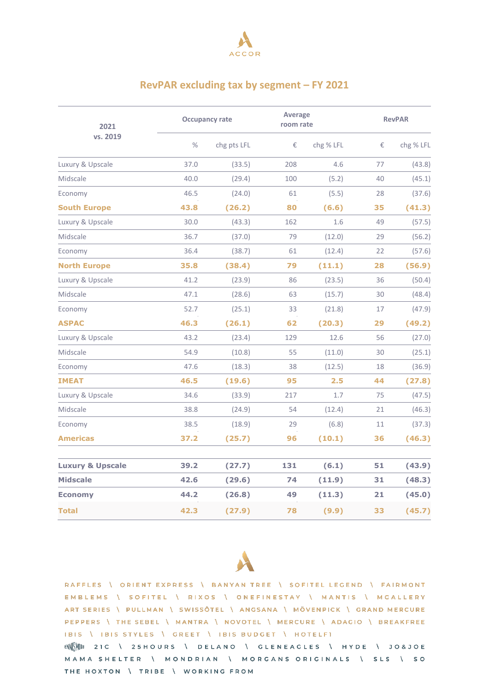

## **RevPAR excluding tax by segment – FY 2021**

| 2021<br>vs. 2019            | <b>Occupancy rate</b> |             |     | <b>Average</b><br>room rate |    | <b>RevPAR</b> |  |
|-----------------------------|-----------------------|-------------|-----|-----------------------------|----|---------------|--|
|                             | $\%$                  | chg pts LFL | €   | chg % LFL                   | €  | chg % LFL     |  |
| Luxury & Upscale            | 37.0                  | (33.5)      | 208 | 4.6                         | 77 | (43.8)        |  |
| Midscale                    | 40.0                  | (29.4)      | 100 | (5.2)                       | 40 | (45.1)        |  |
| Economy                     | 46.5                  | (24.0)      | 61  | (5.5)                       | 28 | (37.6)        |  |
| <b>South Europe</b>         | 43.8                  | (26.2)      | 80  | (6.6)                       | 35 | (41.3)        |  |
| Luxury & Upscale            | 30.0                  | (43.3)      | 162 | 1.6                         | 49 | (57.5)        |  |
| Midscale                    | 36.7                  | (37.0)      | 79  | (12.0)                      | 29 | (56.2)        |  |
| Economy                     | 36.4                  | (38.7)      | 61  | (12.4)                      | 22 | (57.6)        |  |
| <b>North Europe</b>         | 35.8                  | (38.4)      | 79  | (11.1)                      | 28 | (56.9)        |  |
| Luxury & Upscale            | 41.2                  | (23.9)      | 86  | (23.5)                      | 36 | (50.4)        |  |
| Midscale                    | 47.1                  | (28.6)      | 63  | (15.7)                      | 30 | (48.4)        |  |
| Economy                     | 52.7                  | (25.1)      | 33  | (21.8)                      | 17 | (47.9)        |  |
| <b>ASPAC</b>                | 46.3                  | (26.1)      | 62  | (20.3)                      | 29 | (49.2)        |  |
| Luxury & Upscale            | 43.2                  | (23.4)      | 129 | 12.6                        | 56 | (27.0)        |  |
| Midscale                    | 54.9                  | (10.8)      | 55  | (11.0)                      | 30 | (25.1)        |  |
| Economy                     | 47.6                  | (18.3)      | 38  | (12.5)                      | 18 | (36.9)        |  |
| <b>IMEAT</b>                | 46.5                  | (19.6)      | 95  | 2.5                         | 44 | (27.8)        |  |
| Luxury & Upscale            | 34.6                  | (33.9)      | 217 | 1.7                         | 75 | (47.5)        |  |
| Midscale                    | 38.8                  | (24.9)      | 54  | (12.4)                      | 21 | (46.3)        |  |
| Economy                     | 38.5                  | (18.9)      | 29  | (6.8)                       | 11 | (37.3)        |  |
| <b>Americas</b>             | 37.2                  | (25.7)      | 96  | (10.1)                      | 36 | (46.3)        |  |
| <b>Luxury &amp; Upscale</b> | 39.2                  | (27.7)      | 131 | (6.1)                       | 51 | (43.9)        |  |
| <b>Midscale</b>             | 42.6                  | (29.6)      | 74  | (11.9)                      | 31 | (48.3)        |  |
| <b>Economy</b>              | 44.2                  | (26.8)      | 49  | (11.3)                      | 21 | (45.0)        |  |
| <b>Total</b>                | 42.3                  | (27.9)      | 78  | (9.9)                       | 33 | (45.7)        |  |



RAFFLES \ ORIENT EXPRESS \ BANYAN TREE \ SOFITEL LEGEND \ FAIRMONT EMBLEMS \ SOFITEL \ RIXOS \ ONEFINESTAY \ MANTIS \ MGALLERY ART SERIES \ PULLMAN \ SWISSÔTEL \ ANGSANA \ MÖVENPICK \ GRAND MERCURE PEPPERS \ THE SEBEL \ MANTRA \ NOVOTEL \ MERCURE \ ADAGIO \ BREAKFREE IBIS \ IBIS STYLES \ GREET \ IBIS BUDGET \ HOTELFI

ENNEW 21 C \ 25 H O URS \ DELANO \ GLENEAGLES \ HYDE \ JO&JOE MAMA SHELTER \ MONDRIAN \ MORGANS ORIGINALS \ SLS \ SO THE HOXTON \ TRIBE \ WORKING FROM